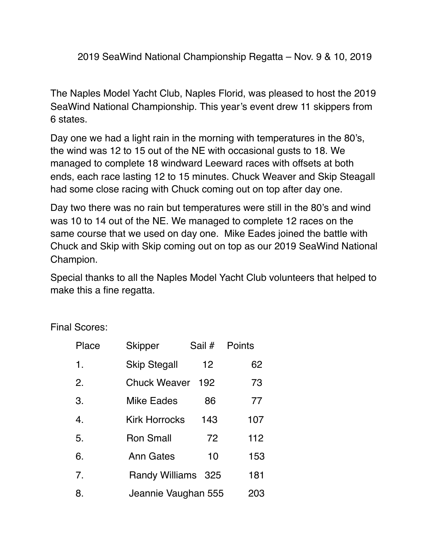2019 SeaWind National Championship Regatta – Nov. 9 & 10, 2019

The Naples Model Yacht Club, Naples Florid, was pleased to host the 2019 SeaWind National Championship. This year's event drew 11 skippers from 6 states.

Day one we had a light rain in the morning with temperatures in the 80's, the wind was 12 to 15 out of the NE with occasional gusts to 18. We managed to complete 18 windward Leeward races with offsets at both ends, each race lasting 12 to 15 minutes. Chuck Weaver and Skip Steagall had some close racing with Chuck coming out on top after day one.

Day two there was no rain but temperatures were still in the 80's and wind was 10 to 14 out of the NE. We managed to complete 12 races on the same course that we used on day one. Mike Eades joined the battle with Chuck and Skip with Skip coming out on top as our 2019 SeaWind National Champion.

Special thanks to all the Naples Model Yacht Club volunteers that helped to make this a fine regatta.

Final Scores:

| Place            | <b>Skipper</b>       | Sail # | Points |
|------------------|----------------------|--------|--------|
| $\mathbf 1$ .    | <b>Skip Stegall</b>  | 12     | 62     |
| 2.               | <b>Chuck Weaver</b>  | 192    | 73     |
| 3.               | <b>Mike Eades</b>    | 86     | 77     |
| $\overline{4}$ . | <b>Kirk Horrocks</b> | 143    | 107    |
| 5.               | <b>Ron Small</b>     | 72     | 112    |
| 6.               | <b>Ann Gates</b>     | 10     | 153    |
| 7.               | Randy Williams 325   |        | 181    |
| 8.               | Jeannie Vaughan 555  |        | 203    |